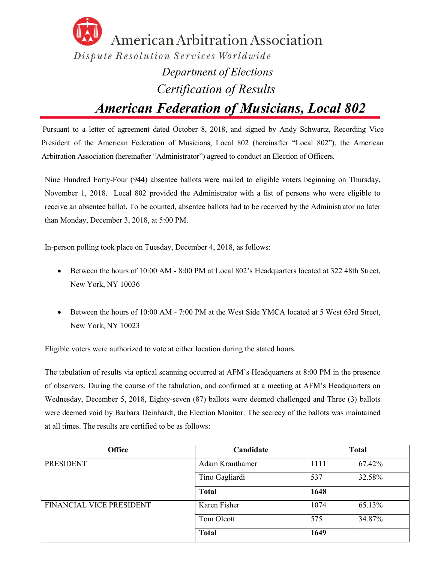

 *American Federation of Musicians, Local 802*

Pursuant to a letter of agreement dated October 8, 2018, and signed by Andy Schwartz, Recording Vice President of the American Federation of Musicians, Local 802 (hereinafter "Local 802"), the American Arbitration Association (hereinafter "Administrator") agreed to conduct an Election of Officers.

Nine Hundred Forty-Four (944) absentee ballots were mailed to eligible voters beginning on Thursday, November 1, 2018. Local 802 provided the Administrator with a list of persons who were eligible to receive an absentee ballot. To be counted, absentee ballots had to be received by the Administrator no later than Monday, December 3, 2018, at 5:00 PM.

In-person polling took place on Tuesday, December 4, 2018, as follows:

- Between the hours of 10:00 AM 8:00 PM at Local 802's Headquarters located at 322 48th Street, New York, NY 10036
- Between the hours of 10:00 AM 7:00 PM at the West Side YMCA located at 5 West 63rd Street, New York, NY 10023

Eligible voters were authorized to vote at either location during the stated hours.

The tabulation of results via optical scanning occurred at AFM's Headquarters at 8:00 PM in the presence of observers. During the course of the tabulation, and confirmed at a meeting at AFM's Headquarters on Wednesday, December 5, 2018, Eighty-seven (87) ballots were deemed challenged and Three (3) ballots were deemed void by Barbara Deinhardt, the Election Monitor. The secrecy of the ballots was maintained at all times. The results are certified to be as follows:

| <b>Office</b>            | Candidate       | <b>Total</b> |        |
|--------------------------|-----------------|--------------|--------|
| <b>PRESIDENT</b>         | Adam Krauthamer | 1111         | 67.42% |
|                          | Tino Gagliardi  | 537          | 32.58% |
|                          | <b>Total</b>    | 1648         |        |
| FINANCIAL VICE PRESIDENT | Karen Fisher    | 1074         | 65.13% |
|                          | Tom Olcott      | 575          | 34.87% |
|                          | <b>Total</b>    | 1649         |        |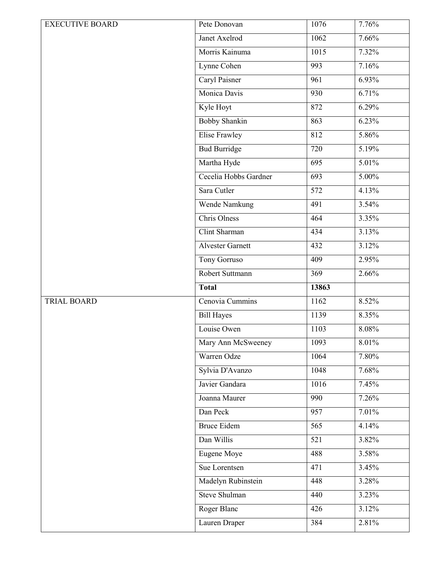| <b>EXECUTIVE BOARD</b> | Pete Donovan            | 1076             | 7.76% |
|------------------------|-------------------------|------------------|-------|
|                        | Janet Axelrod           | 1062             | 7.66% |
|                        | Morris Kainuma          | 1015             | 7.32% |
|                        | Lynne Cohen             | 993              | 7.16% |
|                        | Caryl Paisner           | 961              | 6.93% |
|                        | Monica Davis            | 930              | 6.71% |
|                        | Kyle Hoyt               | 872              | 6.29% |
|                        | <b>Bobby Shankin</b>    | 863              | 6.23% |
|                        | <b>Elise Frawley</b>    | 812              | 5.86% |
|                        | <b>Bud Burridge</b>     | 720              | 5.19% |
|                        | Martha Hyde             | $\overline{695}$ | 5.01% |
|                        | Cecelia Hobbs Gardner   | 693              | 5.00% |
|                        | Sara Cutler             | $\overline{572}$ | 4.13% |
|                        | <b>Wende Namkung</b>    | 491              | 3.54% |
|                        | Chris Olness            | 464              | 3.35% |
|                        | Clint Sharman           | 434              | 3.13% |
|                        | <b>Alvester Garnett</b> | 432              | 3.12% |
|                        | Tony Gorruso            | 409              | 2.95% |
|                        | Robert Suttmann         | 369              | 2.66% |
|                        | <b>Total</b>            | 13863            |       |
| <b>TRIAL BOARD</b>     | Cenovia Cummins         | 1162             | 8.52% |
|                        | <b>Bill Hayes</b>       | 1139             | 8.35% |
|                        | Louise Owen             | 1103             | 8.08% |
|                        | Mary Ann McSweeney      | 1093             | 8.01% |
|                        | Warren Odze             | 1064             | 7.80% |
|                        | Sylvia D'Avanzo         | 1048             | 7.68% |
|                        | Javier Gandara          | 1016             | 7.45% |
|                        | Joanna Maurer           | 990              | 7.26% |
|                        | Dan Peck                | 957              | 7.01% |
|                        | <b>Bruce Eidem</b>      | 565              | 4.14% |
|                        | Dan Willis              | $\overline{521}$ | 3.82% |
|                        | Eugene Moye             | 488              | 3.58% |
|                        | Sue Lorentsen           | 471              | 3.45% |
|                        | Madelyn Rubinstein      | 448              | 3.28% |
|                        | <b>Steve Shulman</b>    | 440              | 3.23% |
|                        |                         |                  |       |
|                        | Roger Blanc             | 426              | 3.12% |